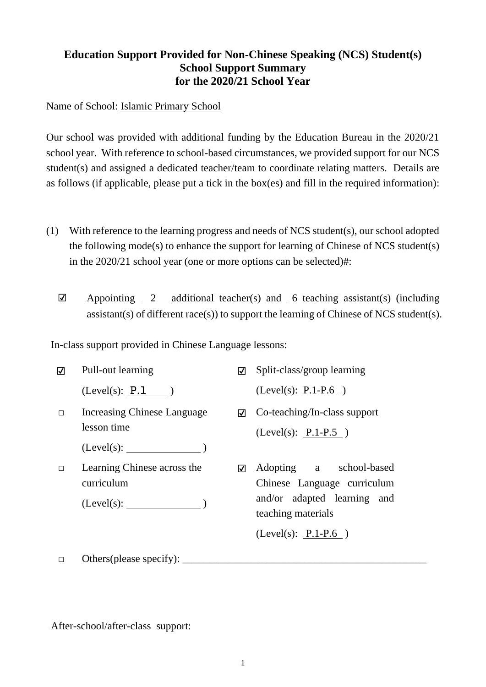## **Education Support Provided for Non-Chinese Speaking (NCS) Student(s) School Support Summary for the 2020/21 School Year**

Name of School: Islamic Primary School

Our school was provided with additional funding by the Education Bureau in the 2020/21 school year. With reference to school-based circumstances, we provided support for our NCS student(s) and assigned a dedicated teacher/team to coordinate relating matters. Details are as follows (if applicable, please put a tick in the box(es) and fill in the required information):

- (1) With reference to the learning progress and needs of NCS student(s), our school adopted the following mode(s) to enhance the support for learning of Chinese of NCS student(s) in the 2020/21 school year (one or more options can be selected)#:
	- $\boxtimes$  Appointing 2 additional teacher(s) and 6 teaching assistant(s) (including assistant(s) of different race(s)) to support the learning of Chinese of NCS student(s).

In-class support provided in Chinese Language lessons:

| ☑      | Pull-out learning                         | ⊽   | Split-class/group learning                                                                                  |
|--------|-------------------------------------------|-----|-------------------------------------------------------------------------------------------------------------|
|        | (Level(s): P.1)                           |     | $(Level(s): P.1-P.6)$                                                                                       |
| $\Box$ | Increasing Chinese Language               | ا⊽ا | Co-teaching/In-class support                                                                                |
|        | lesson time                               |     | $(Level(s): P.1-P.5)$                                                                                       |
|        | $(Level(s):$ (Level(s): $)$               |     |                                                                                                             |
| $\Box$ | Learning Chinese across the<br>curriculum | ☑   | Adopting a school-based<br>Chinese Language curriculum<br>and/or adapted learning and<br>teaching materials |
|        |                                           |     | (Level(s): $P.1-P.6$ )                                                                                      |

 $\Box$  Others(please specify):

After-school/after-class support: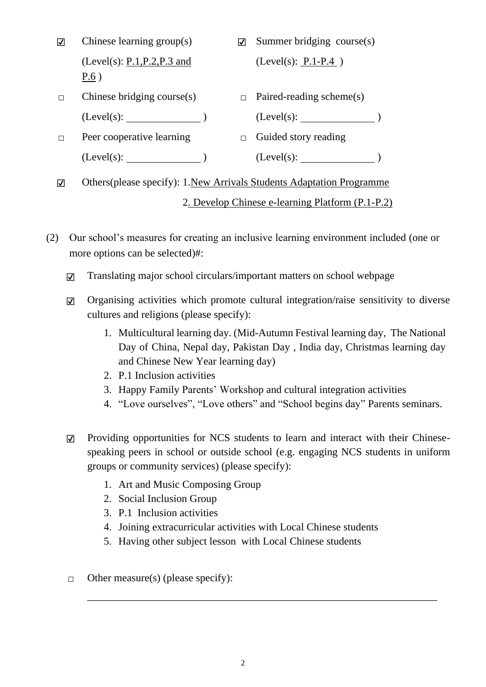| ☑ | Chinese learning $group(s)$                                            | ☑ | Summer bridging $course(s)$     |
|---|------------------------------------------------------------------------|---|---------------------------------|
|   | (Level(s): $P.1, P.2, P.3$ and<br>P.6)                                 |   | (Level(s): $P.1-P.4$ )          |
| П | Chinese bridging course $(s)$                                          |   | $\Box$ Paired-reading scheme(s) |
|   | $(Level(s):$ (Level(s): $)$                                            |   | (Level(s):                      |
| П | Peer cooperative learning                                              |   | $\Box$ Guided story reading     |
|   | $(Level(s):$ (Level(s): $)$                                            |   |                                 |
| ⊽ | Others (please specify): 1. New Arrivals Students Adaptation Programme |   |                                 |

- (2) Our school's measures for creating an inclusive learning environment included (one or more options can be selected)#:
	- ☑ Translating major school circulars/important matters on school webpage
	- ☑ Organising activities which promote cultural integration/raise sensitivity to diverse cultures and religions (please specify):
		- 1. Multicultural learning day. (Mid-Autumn Festival learning day, The National Day of China, Nepal day, Pakistan Day , India day, Christmas learning day and Chinese New Year learning day)

2. Develop Chinese e-learning Platform (P.1-P.2)

- 2. P.1 Inclusion activities
- 3. Happy Family Parents' Workshop and cultural integration activities
- 4. "Love ourselves", "Love others" and "School begins day" Parents seminars.
- ☑ Providing opportunities for NCS students to learn and interact with their Chinesespeaking peers in school or outside school (e.g. engaging NCS students in uniform groups or community services) (please specify):

\_\_\_\_\_\_\_\_\_\_\_\_\_\_\_\_\_\_\_\_\_\_\_\_\_\_\_\_\_\_\_\_\_\_\_\_\_\_\_\_\_\_\_\_\_\_\_\_\_\_\_\_\_\_\_\_\_\_\_\_\_\_\_\_\_\_

- 1. Art and Music Composing Group
- 2. Social Inclusion Group
- 3. P.1 Inclusion activities
- 4. Joining extracurricular activities with Local Chinese students
- 5. Having other subject lesson with Local Chinese students
- $\Box$  Other measure(s) (please specify):